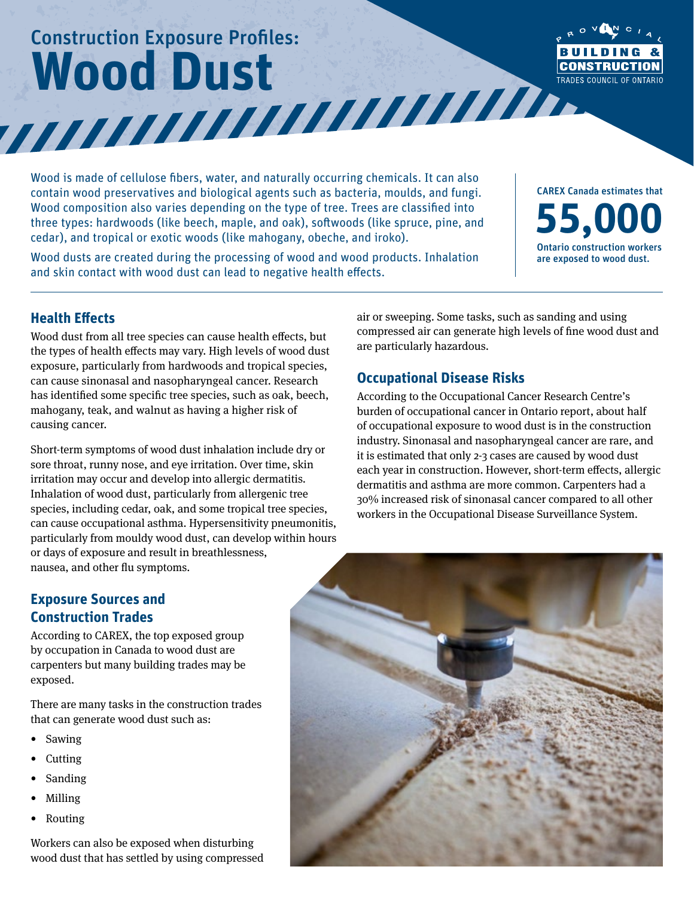# Construction Exposure Profiles: Wood Dust<br>William Dust



Wood is made of cellulose fibers, water, and naturally occurring chemicals. It can also contain wood preservatives and biological agents such as bacteria, moulds, and fungi. Wood composition also varies depending on the type of tree. Trees are classified into three types: hardwoods (like beech, maple, and oak), softwoods (like spruce, pine, and cedar), and tropical or exotic woods (like mahogany, obeche, and iroko).

Wood dusts are created during the processing of wood and wood products. Inhalation and skin contact with wood dust can lead to negative health effects.

CAREX Canada estimates that **55,000** Ontario construction workers are exposed to wood dust.

## **Health Effects**

Wood dust from all tree species can cause health effects, but the types of health effects may vary. High levels of wood dust exposure, particularly from hardwoods and tropical species, can cause sinonasal and nasopharyngeal cancer. Research has identified some specific tree species, such as oak, beech, mahogany, teak, and walnut as having a higher risk of causing cancer.

Short-term symptoms of wood dust inhalation include dry or sore throat, runny nose, and eye irritation. Over time, skin irritation may occur and develop into allergic dermatitis. Inhalation of wood dust, particularly from allergenic tree species, including cedar, oak, and some tropical tree species, can cause occupational asthma. Hypersensitivity pneumonitis, particularly from mouldy wood dust, can develop within hours or days of exposure and result in breathlessness, nausea, and other flu symptoms.

## air or sweeping. Some tasks, such as sanding and using compressed air can generate high levels of fine wood dust and are particularly hazardous.

## **Occupational Disease Risks**

According to the Occupational Cancer Research Centre's burden of occupational cancer in Ontario report, about half of occupational exposure to wood dust is in the construction industry. Sinonasal and nasopharyngeal cancer are rare, and it is estimated that only 2-3 cases are caused by wood dust each year in construction. However, short-term effects, allergic dermatitis and asthma are more common. Carpenters had a 30% increased risk of sinonasal cancer compared to all other workers in the Occupational Disease Surveillance System.

## **Exposure Sources and Construction Trades**

According to CAREX, the top exposed group by occupation in Canada to wood dust are carpenters but many building trades may be exposed.

There are many tasks in the construction trades that can generate wood dust such as:

- Sawing
- Cutting
- **Sanding**
- Milling
- Routing

Workers can also be exposed when disturbing wood dust that has settled by using compressed